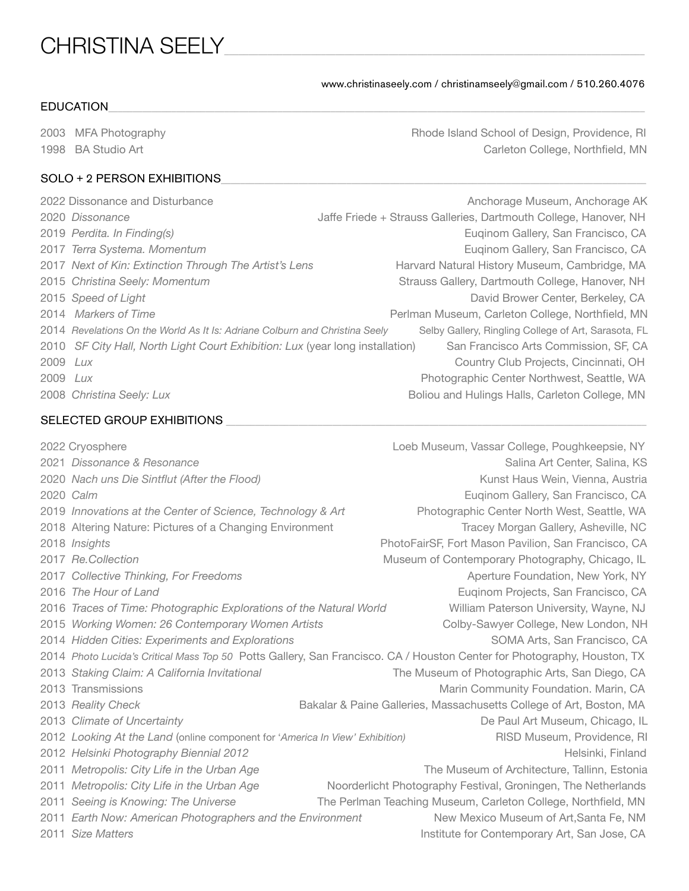# CHRISTINA SEELY\_\_\_\_\_\_\_\_\_\_\_\_\_\_\_\_\_\_\_\_\_\_\_\_\_\_\_\_\_\_\_\_\_\_\_\_\_\_\_\_\_\_\_\_\_\_\_\_\_\_\_\_\_\_\_\_\_\_\_\_\_\_\_\_\_\_\_\_\_\_\_\_\_\_\_\_\_\_\_\_\_\_\_\_\_\_\_

www.christinaseely.com / christinamseely@gmail.com / 510.260.4076

## $\textsf{\small EDUCATION} \color{black}$

2003 MFA Photography **All and School of Design, Providence, RI** Rhode Island School of Design, Providence, RI 1998 BA Studio Art **Mateural College, Northfield, MN** Carleton College, Northfield, MN

#### SOLO + 2 PERSON EXHIBITIONS

|          | 2022 Dissonance and Disturbance                                               | Anchorage Museum, Anchorage AK                                   |
|----------|-------------------------------------------------------------------------------|------------------------------------------------------------------|
|          | 2020 Dissonance                                                               | Jaffe Friede + Strauss Galleries, Dartmouth College, Hanover, NH |
|          | 2019 Perdita. In Finding(s)                                                   | Euginom Gallery, San Francisco, CA                               |
|          | 2017 Terra Systema. Momentum                                                  | Euginom Gallery, San Francisco, CA                               |
|          | 2017 Next of Kin: Extinction Through The Artist's Lens                        | Harvard Natural History Museum, Cambridge, MA                    |
|          | 2015 Christina Seely: Momentum                                                | Strauss Gallery, Dartmouth College, Hanover, NH                  |
|          | 2015 Speed of Light                                                           | David Brower Center, Berkeley, CA                                |
|          | 2014 Markers of Time                                                          | Perlman Museum, Carleton College, Northfield, MN                 |
|          | 2014 Revelations On the World As It Is: Adriane Colburn and Christina Seely   | Selby Gallery, Ringling College of Art, Sarasota, FL             |
|          | 2010 SF City Hall, North Light Court Exhibition: Lux (year long installation) | San Francisco Arts Commission, SF, CA                            |
| 2009 Lux |                                                                               | Country Club Projects, Cincinnati, OH                            |
| 2009 Lux |                                                                               | Photographic Center Northwest, Seattle, WA                       |
|          | 2008 Christina Seely: Lux                                                     | Boliou and Hulings Halls, Carleton College, MN                   |

# SELECTED GROUP EXHIBITIONS \_\_\_\_\_\_\_\_\_\_\_\_\_\_\_\_\_\_\_\_\_\_\_\_\_\_\_\_\_\_\_\_\_\_\_\_\_\_\_\_\_\_\_\_\_\_\_\_\_\_\_\_\_\_\_\_\_\_\_\_\_\_\_\_\_\_\_\_\_\_\_\_\_\_\_\_\_\_\_\_\_\_\_\_\_\_\_

|      | 2022 Cryosphere                                                                                                         | Loeb Museum, Vassar College, Poughkeepsie, NY                       |
|------|-------------------------------------------------------------------------------------------------------------------------|---------------------------------------------------------------------|
|      | 2021 Dissonance & Resonance                                                                                             | Salina Art Center, Salina, KS                                       |
|      | 2020 Nach uns Die Sintflut (After the Flood)                                                                            | Kunst Haus Wein, Vienna, Austria                                    |
|      | 2020 Calm                                                                                                               | Euqinom Gallery, San Francisco, CA                                  |
|      | 2019 Innovations at the Center of Science, Technology & Art                                                             | Photographic Center North West, Seattle, WA                         |
|      | 2018 Altering Nature: Pictures of a Changing Environment                                                                | Tracey Morgan Gallery, Asheville, NC                                |
|      | 2018 Insights                                                                                                           | PhotoFairSF, Fort Mason Pavilion, San Francisco, CA                 |
|      | 2017 Re.Collection                                                                                                      | Museum of Contemporary Photography, Chicago, IL                     |
|      | 2017 Collective Thinking, For Freedoms                                                                                  | Aperture Foundation, New York, NY                                   |
|      | 2016 The Hour of Land                                                                                                   | Euginom Projects, San Francisco, CA                                 |
|      | 2016 Traces of Time: Photographic Explorations of the Natural World                                                     | William Paterson University, Wayne, NJ                              |
|      | 2015 Working Women: 26 Contemporary Women Artists                                                                       | Colby-Sawyer College, New London, NH                                |
|      | 2014 Hidden Cities: Experiments and Explorations                                                                        | SOMA Arts, San Francisco, CA                                        |
|      | 2014 Photo Lucida's Critical Mass Top 50 Potts Gallery, San Francisco. CA / Houston Center for Photography, Houston, TX |                                                                     |
|      | 2013 Staking Claim: A California Invitational                                                                           | The Museum of Photographic Arts, San Diego, CA                      |
|      | 2013 Transmissions                                                                                                      | Marin Community Foundation. Marin, CA                               |
|      | 2013 Reality Check                                                                                                      | Bakalar & Paine Galleries, Massachusetts College of Art, Boston, MA |
|      | 2013 Climate of Uncertainty                                                                                             | De Paul Art Museum, Chicago, IL                                     |
|      | 2012 Looking At the Land (online component for 'America In View' Exhibition)                                            | RISD Museum, Providence, RI                                         |
|      | 2012 Helsinki Photography Biennial 2012                                                                                 | Helsinki, Finland                                                   |
|      | 2011 Metropolis: City Life in the Urban Age                                                                             | The Museum of Architecture, Tallinn, Estonia                        |
| 2011 | Metropolis: City Life in the Urban Age                                                                                  | Noorderlicht Photography Festival, Groningen, The Netherlands       |
| 2011 | Seeing is Knowing: The Universe                                                                                         | The Perlman Teaching Museum, Carleton College, Northfield, MN       |
|      | 2011 Earth Now: American Photographers and the Environment                                                              | New Mexico Museum of Art, Santa Fe, NM                              |
|      | 2011 Size Matters                                                                                                       | Institute for Contemporary Art, San Jose, CA                        |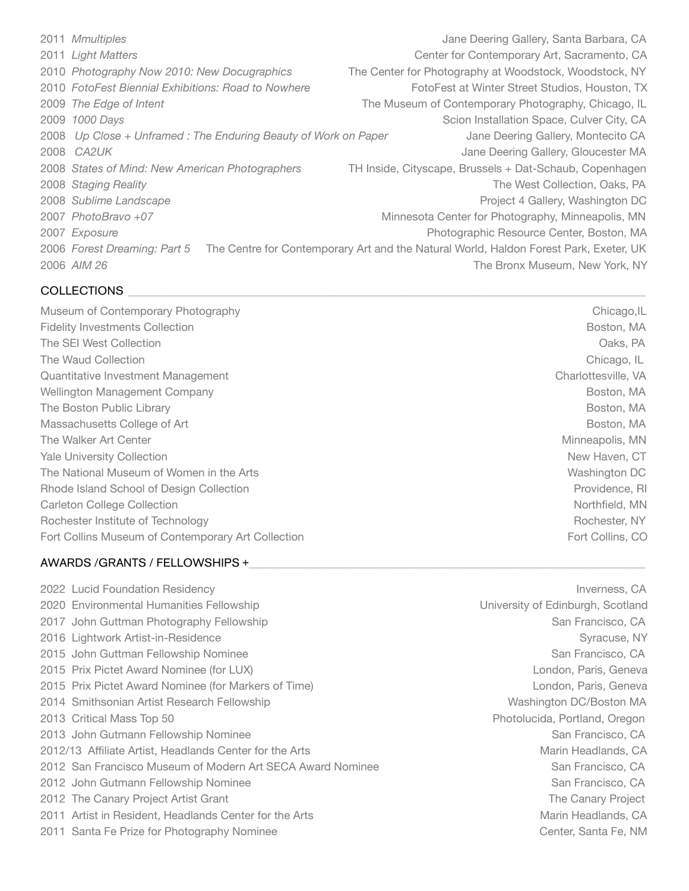*Mmultiples Mmultiples CA CA CA CA CA CA CA CA CA CA CA CA CA CA CA CA CA CA CA CA CA CA CA CA CA CA CA Light Matters* **Cancer Contemporary Art, Sacramento, CA** Center for Contemporary Art, Sacramento, CA *Photography Now 2010: New Docugraphics* The Center for Photography at Woodstock, Woodstock, NY *FotoFest Biennial Exhibitions: Road to Nowhere* FotoFest at Winter Street Studios, Houston, TX *The Edge of Intent* The Museum of Contemporary Photography, Chicago, IL *1000 Days* **1000 Days 1000 Days 1000 Days 1000 Series 1000 Days CALL 2009 1000 Days CALL 2009 1000 Days CALL 2009 1000 Days CALL 2009 1000 Days CALL 2009 1000 Days CALL 2009 1000 Days CALL 2009 10** *Up Close + Unframed : The Enduring Beauty of Work on Paper* Jane Deering Gallery, Montecito CA 2008 CA2UK *CA2UK CA2UK CA2UK CA2UK CA2UK CA2UK CA2UK CA2UK CA2UK CA2UK CA2UK CA2UK CA2UK CA2UK CA2UK CA2UK CA4UK CA4UK CA4UK CA4UK CA4UK States of Mind: New American Photographers* TH Inside, Cityscape, Brussels + Dat-Schaub, Copenhagen 2008 Staging Reality *Properties and Collection, Oaks, PA The West Collection, Oaks, PA* 2008 Sublime Landscape **by Callery, Washington DC** *Project 4 Gallery, Washington DC PhotoBravo +07* Minnesota Center for Photography, Minneapolis, MN *Exposure* **Exposure 1998 Exposure** *CON* **Exposure** *Center, Boston, MA CON Photographic Resource Center, Boston, MA Forest Dreaming: Part 5* The Centre for Contemporary Art and the Natural World, Haldon Forest Park, Exeter, UK *AIM 26* **ADM 26**  *AIM 26* *CONS AIM 26 AIM 26 AIM 26 AIM 26 AIM 26 AIM 26 AIM 26 AIM 26 AIM 26 AIM 26 AIM 26 AIM* **26<b>**  *AIM AIM AIM AI* 

## COLLECTIONS

Museum of Contemporary Photography **by a contemporary Photography Chicago,IL Fidelity Investments Collection** *Boston, MA* The SEI West Collection **and the Collection** *Calculation**Calculation**Calculation**Calculation**Calculation**Calculation**Calculation**Calculation**Calculation**Calculation**Calculation**Calculation**Calcula* The Waud Collection **and Collection and Collection** *n Chicago, IL* Quantitative Investment Management Charlottesville, VA Wellington Management Company Boston, MA The Boston Public Library Boston, MA Massachusetts College of Art **Massachusetts College of Art** *NA* Boston, MA The Walker Art Center **Minneapolis**, MN Yale University Collection **by the COV COVID-MOVID-MOVID-MOVID-MOVID-MOVID-MOVID-MOVID-MOVID-MOVID-MOVID-MOVID-**The National Museum of Women in the Arts Washington DC Rhode Island School of Design Collection **Brown** Providence, RI Carleton College Collection **and Collection** *Carleton College Collection Carleton College Collection* Rochester Institute of Technology **Branch Control Control Control Control Control Control Control Control Control Control Control Control Control Control Control Control Control Control Control Control Control Control Cont** Fort Collins Museum of Contemporary Art Collection **The Collection Contemporary Art Collection Fort Collins, CO** 

# AWARDS /GRANTS / FELLOWSHIPS +\_\_\_\_\_\_\_\_\_\_\_\_\_\_\_\_\_\_\_\_\_\_\_\_\_\_\_\_\_\_\_\_\_\_\_\_\_\_\_\_\_\_\_\_\_\_\_\_\_\_\_\_\_\_\_\_\_\_\_\_\_\_\_\_\_\_\_\_\_\_\_\_\_\_\_\_\_\_\_\_\_\_

2022 Lucid Foundation Residency Inverness, CA 2020 Environmental Humanities Fellowship **XXX CONNOTE:** University of Edinburgh, Scotland 2017 John Guttman Photography Fellowship San Francisco, CA 2016 Lightwork Artist-in-Residence Syracuse, NY 2015 John Guttman Fellowship Nominee **XXX** *CA San Francisco, CA* *San Francisco, CA* 2015 Prix Pictet Award Nominee (for LUX) and the control of the control of the control of the control of the control of the control of the control of the control of the control of the control of the control of the contro 2015 Prix Pictet Award Nominee (for Markers of Time) and the control of the London, Paris, Geneva 2014 Smithsonian Artist Research Fellowship **XXX CONNOTE: Washington DC/Boston MA** 2013 Critical Mass Top 50 and the control of the control of the Photolucida, Portland, Oregon 2013 John Gutmann Fellowship Nominee San Francisco, CA 2012/13 Affiliate Artist, Headlands Center for the Arts<br>
2012/13 Affiliate Artist, Headlands Center for the Arts 2012 San Francisco Museum of Modern Art SECA Award Nominee *San Francisco, CA* 2012 John Gutmann Fellowship Nominee San Francisco, CA 2012 The Canary Project Artist Grant The Canary Project 2011 Artist in Resident, Headlands Center for the Arts **Marin Headlands, CA** Marin Headlands, CA 2011 Santa Fe Prize for Photography Nominee **by a struck of the Center, Santa Fe, NM**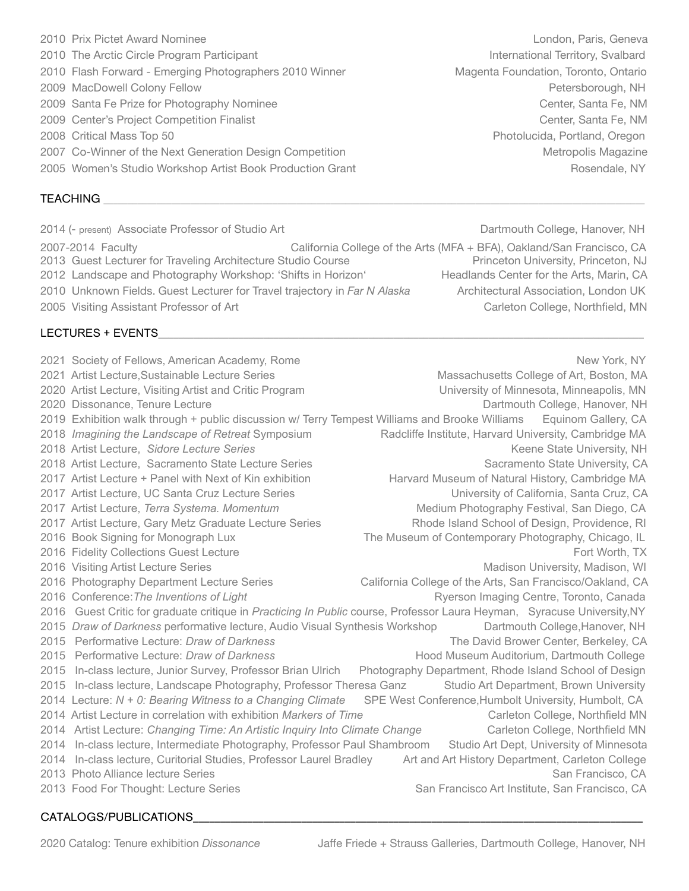CATALOGS/PUBLICATIONS**\_\_\_\_\_\_\_\_\_\_\_\_\_\_\_\_\_\_\_\_\_\_\_\_\_\_\_\_\_\_\_\_\_\_\_\_\_\_\_\_\_\_\_\_\_\_\_\_\_\_\_\_\_\_\_\_\_\_\_\_\_\_\_\_\_\_\_\_\_\_\_\_\_\_\_\_\_\_\_\_\_\_\_**

- 
- 
- 2010 Flash Forward Emerging Photographers 2010 Winner Magenta Foundation, Toronto, Ontario
- 
- 2009 Santa Fe Prize for Photography Nominee **by a struck of the Center, Santa Fe, NM**
- 2009 Center's Project Competition Finalist **Competition Finalist Center, Santa Fe**, NM
- 
- 2007 Co-Winner of the Next Generation Design Competition Netropolis Magazine Metropolis Magazine
- 2005 Women's Studio Workshop Artist Book Production Grant New York Rosendale, NY

#### TEACHING \_\_\_\_\_\_\_\_\_\_\_\_\_\_\_\_\_\_\_\_\_\_\_\_\_\_\_\_\_\_\_\_\_\_\_\_\_\_\_\_\_\_\_\_\_\_\_\_\_\_\_\_\_\_\_\_\_\_\_\_\_\_\_\_\_\_\_\_\_\_\_\_\_\_\_\_\_\_\_\_\_\_\_\_\_\_\_\_\_\_\_\_\_\_\_\_\_\_\_\_\_\_\_\_\_\_\_\_\_\_\_\_

2014 (- present) Associate Professor of Studio Art Dartmouth College, Hanover, NH

- 2007-2014 Faculty California College of the Arts (MFA + BFA), Oakland/San Francisco, CA
- 2013 Guest Lecturer for Traveling Architecture Studio Course Princeton University, Princeton, NJ
- 
- 
- 2005 Visiting Assistant Professor of Art Carleton College, Northfield, MN

## LECTURES + EVENTS**\_\_\_\_\_\_\_\_\_\_\_\_\_\_\_\_\_\_\_\_\_\_\_\_\_\_\_\_\_\_\_\_\_\_\_\_\_\_\_\_\_\_\_\_\_\_\_\_\_\_\_\_\_\_\_\_\_\_\_\_\_\_\_\_\_\_\_\_\_\_\_\_\_\_\_\_\_\_\_\_\_\_\_\_\_\_\_\_\_\_\_\_\_\_\_\_\_**

2021 Society of Fellows, American Academy, Rome New York, NY 2021 Artist Lecture, Sustainable Lecture Series Massachusetts College of Art, Boston, MA 2020 Artist Lecture, Visiting Artist and Critic Program University of Minnesota, Minneapolis, MN 2020 Dissonance, Tenure Lecture **Dartmouth College, Hanover, NH Dartmouth College, Hanover, NH** 2019 Exhibition walk through + public discussion w/ Terry Tempest Williams and Brooke Williams Equinom Gallery, CA 2018 *Imagining the Landscape of Retreat* Symposium Radcliffe Institute, Harvard University, Cambridge MA 2018 Artist Lecture, *Sidore Lecture Series* Keene State University, NH 2018 Artist Lecture, Sacramento State Lecture Series Sacramento State University, CA 2017 Artist Lecture + Panel with Next of Kin exhibition Harvard Museum of Natural History, Cambridge MA 2017 Artist Lecture, UC Santa Cruz Lecture Series University of California, Santa Cruz, CA 2017 Artist Lecture, *Terra Systema. Momentum* Medium Photography Festival, San Diego, CA 2017 Artist Lecture, Gary Metz Graduate Lecture Series Rhode Island School of Design, Providence, RI 2016 Book Signing for Monograph Lux The Museum of Contemporary Photography, Chicago, IL 2016 Fidelity Collections Guest Lecture Fort Worth, TX 2016 Visiting Artist Lecture Series Mathematic Series Madison University, Madison, WI 2016 Photography Department Lecture Series California College of the Arts, San Francisco/Oakland, CA 2016 Conference: The Inventions of Light **Reparation Centre, Toronto, Canada** Ryerson Imaging Centre, Toronto, Canada 2016 Guest Critic for graduate critique in *Practicing In Public* course, Professor Laura Heyman, Syracuse University,NY 2015 *Draw of Darkness* performative lecture, Audio Visual Synthesis Workshop Dartmouth College,Hanover, NH 2015 Performative Lecture: *Draw of Darkness* The David Brower Center, Berkeley, CA 2015 Performative Lecture: *Draw of Darkness* Hood Museum Auditorium, Dartmouth College 2015 In-class lecture, Junior Survey, Professor Brian Ulrich Photography Department, Rhode Island School of Design 2015 In-class lecture, Landscape Photography, Professor Theresa Ganz Studio Art Department, Brown University 2014 Lecture: *N + 0: Bearing Witness to a Changing Climate* SPE West Conference,Humbolt University, Humbolt, CA 2014 Artist Lecture in correlation with exhibition *Markers of Time* Carleton College, Northfield MN 2014 Artist Lecture: *Changing Time: An Artistic Inquiry Into Climate Change* Carleton College, Northfield MN 2014 In-class lecture, Intermediate Photography, Professor Paul Shambroom Studio Art Dept, University of Minnesota 2014 In-class lecture, Curitorial Studies, Professor Laurel Bradley Art and Art History Department, Carleton College 2013 Photo Alliance lecture Series San Francisco, CA 2013 Food For Thought: Lecture Series San Francisco Art Institute, San Francisco, CA

2010 Prix Pictet Award Nominee **Xang Times and American Control of Control** London, Paris, Geneva 2010 The Arctic Circle Program Participant **Xamericians** *International Territory, Svalbard* 2009 MacDowell Colony Fellow **Colony Fellow Colone Colone Colone Colone Colone Colone Colone Colone Colone Colone Colone Colone Colone Colone Colone Colone Colone Colone Colone Colone Colone Colone Colone Colone Colone C** 2008 Critical Mass Top 50 and the state of the state of the state of the Photolucida, Portland, Oregon

2012 Landscape and Photography Workshop: 'Shifts in Horizon' Headlands Center for the Arts, Marin, CA 2010 Unknown Fields. Guest Lecturer for Travel trajectory in *Far N Alaska* Architectural Association, London UK